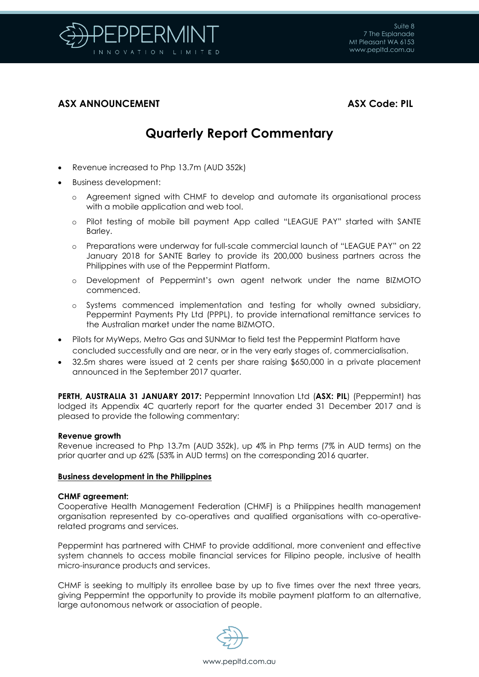

# **ASX ANNOUNCEMENT ASX Code: PIL**

# **Quarterly Report Commentary**

- Revenue increased to Php 13.7m (AUD 352k)
- Business development:
	- o Agreement signed with CHMF to develop and automate its organisational process with a mobile application and web tool.
	- o Pilot testing of mobile bill payment App called "LEAGUE PAY" started with SANTE Barley.
	- o Preparations were underway for full-scale commercial launch of "LEAGUE PAY" on 22 January 2018 for SANTE Barley to provide its 200,000 business partners across the Philippines with use of the Peppermint Platform.
	- o Development of Peppermint's own agent network under the name BIZMOTO commenced.
	- o Systems commenced implementation and testing for wholly owned subsidiary, Peppermint Payments Pty Ltd (PPPL), to provide international remittance services to the Australian market under the name BIZMOTO.
- Pilots for MyWeps, Metro Gas and SUNMar to field test the Peppermint Platform have concluded successfully and are near, or in the very early stages of, commercialisation.
- 32.5m shares were issued at 2 cents per share raising \$650,000 in a private placement announced in the September 2017 quarter.

**PERTH, AUSTRALIA 31 JANUARY 2017:** Peppermint Innovation Ltd (**ASX: PIL**) (Peppermint) has lodged its Appendix 4C quarterly report for the quarter ended 31 December 2017 and is pleased to provide the following commentary:

# **Revenue growth**

Revenue increased to Php 13.7m (AUD 352k), up 4% in Php terms (7% in AUD terms) on the prior quarter and up 62% (53% in AUD terms) on the corresponding 2016 quarter.

# **Business development in the Philippines**

# **CHMF agreement:**

Cooperative Health Management Federation (CHMF) is a Philippines health management organisation represented by co-operatives and qualified organisations with co-operativerelated programs and services.

Peppermint has partnered with CHMF to provide additional, more convenient and effective system channels to access mobile financial services for Filipino people, inclusive of health micro-insurance products and services.

CHMF is seeking to multiply its enrollee base by up to five times over the next three years, giving Peppermint the opportunity to provide its mobile payment platform to an alternative, large autonomous network or association of people.

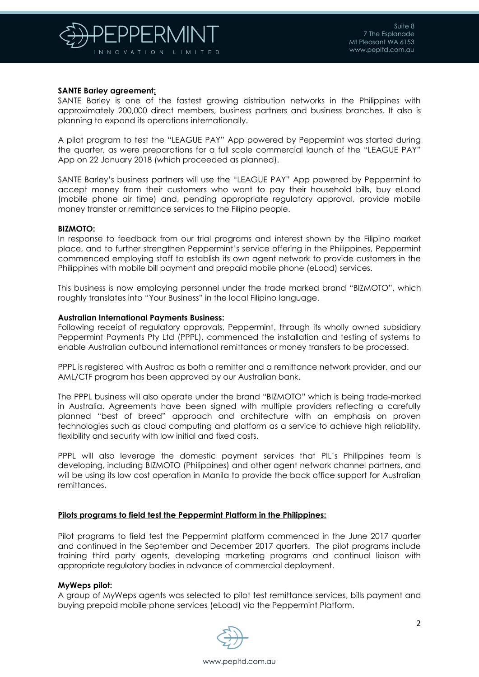

# **SANTE Barley agreement:**

SANTE Barley is one of the fastest growing distribution networks in the Philippines with approximately 200,000 direct members, business partners and business branches. It also is planning to expand its operations internationally.

A pilot program to test the "LEAGUE PAY" App powered by Peppermint was started during the quarter, as were preparations for a full scale commercial launch of the "LEAGUE PAY" App on 22 January 2018 (which proceeded as planned).

SANTE Barley's business partners will use the "LEAGUE PAY" App powered by Peppermint to accept money from their customers who want to pay their household bills, buy eLoad (mobile phone air time) and, pending appropriate regulatory approval, provide mobile money transfer or remittance services to the Filipino people.

### **BIZMOTO:**

In response to feedback from our trial programs and interest shown by the Filipino market place, and to further strengthen Peppermint's service offering in the Philippines, Peppermint commenced employing staff to establish its own agent network to provide customers in the Philippines with mobile bill payment and prepaid mobile phone (eLoad) services.

This business is now employing personnel under the trade marked brand "BIZMOTO", which roughly translates into "Your Business" in the local Filipino language.

### **Australian International Payments Business:**

Following receipt of regulatory approvals, Peppermint, through its wholly owned subsidiary Peppermint Payments Pty Ltd (PPPL), commenced the installation and testing of systems to enable Australian outbound international remittances or money transfers to be processed.

PPPL is registered with Austrac as both a remitter and a remittance network provider, and our AML/CTF program has been approved by our Australian bank.

The PPPL business will also operate under the brand "BIZMOTO" which is being trade-marked in Australia. Agreements have been signed with multiple providers reflecting a carefully planned "best of breed" approach and architecture with an emphasis on proven technologies such as cloud computing and platform as a service to achieve high reliability, flexibility and security with low initial and fixed costs.

PPPL will also leverage the domestic payment services that PIL's Philippines team is developing, including BIZMOTO (Philippines) and other agent network channel partners, and will be using its low cost operation in Manila to provide the back office support for Australian remittances.

### **Pilots programs to field test the Peppermint Platform in the Philippines:**

Pilot programs to field test the Peppermint platform commenced in the June 2017 quarter and continued in the September and December 2017 quarters. The pilot programs include training third party agents, developing marketing programs and continual liaison with appropriate regulatory bodies in advance of commercial deployment.

### **MyWeps pilot:**

A group of MyWeps agents was selected to pilot test remittance services, bills payment and buying prepaid mobile phone services (eLoad) via the Peppermint Platform.

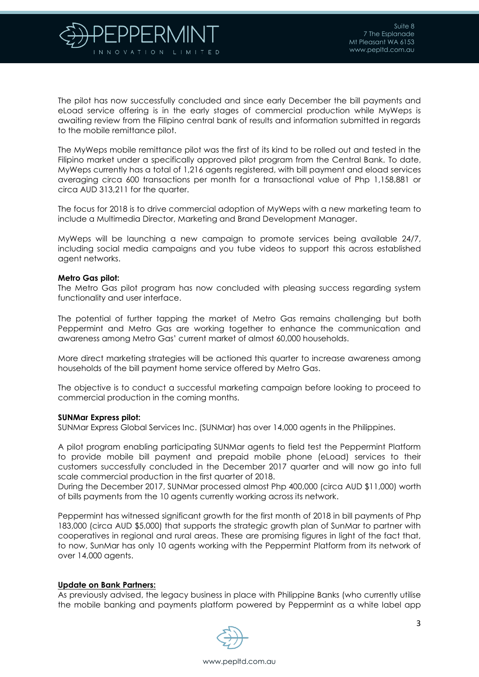

The pilot has now successfully concluded and since early December the bill payments and eLoad service offering is in the early stages of commercial production while MyWeps is awaiting review from the Filipino central bank of results and information submitted in regards to the mobile remittance pilot.

The MyWeps mobile remittance pilot was the first of its kind to be rolled out and tested in the Filipino market under a specifically approved pilot program from the Central Bank. To date, MyWeps currently has a total of 1,216 agents registered, with bill payment and eload services averaging circa 600 transactions per month for a transactional value of Php 1,158,881 or circa AUD 313,211 for the quarter.

The focus for 2018 is to drive commercial adoption of MyWeps with a new marketing team to include a Multimedia Director, Marketing and Brand Development Manager.

MyWeps will be launching a new campaign to promote services being available 24/7, including social media campaigns and you tube videos to support this across established agent networks.

### **Metro Gas pilot:**

The Metro Gas pilot program has now concluded with pleasing success regarding system functionality and user interface.

The potential of further tapping the market of Metro Gas remains challenging but both Peppermint and Metro Gas are working together to enhance the communication and awareness among Metro Gas' current market of almost 60,000 households.

More direct marketing strategies will be actioned this quarter to increase awareness among households of the bill payment home service offered by Metro Gas.

The objective is to conduct a successful marketing campaign before looking to proceed to commercial production in the coming months.

### **SUNMar Express pilot:**

SUNMar Express Global Services Inc. (SUNMar) has over 14,000 agents in the Philippines.

A pilot program enabling participating SUNMar agents to field test the Peppermint Platform to provide mobile bill payment and prepaid mobile phone (eLoad) services to their customers successfully concluded in the December 2017 quarter and will now go into full scale commercial production in the first quarter of 2018.

During the December 2017, SUNMar processed almost Php 400,000 (circa AUD \$11,000) worth of bills payments from the 10 agents currently working across its network.

Peppermint has witnessed significant growth for the first month of 2018 in bill payments of Php 183,000 (circa AUD \$5,000) that supports the strategic growth plan of SunMar to partner with cooperatives in regional and rural areas. These are promising figures in light of the fact that, to now, SunMar has only 10 agents working with the Peppermint Platform from its network of over 14,000 agents.

### **Update on Bank Partners:**

As previously advised, the legacy business in place with Philippine Banks (who currently utilise the mobile banking and payments platform powered by Peppermint as a white label app

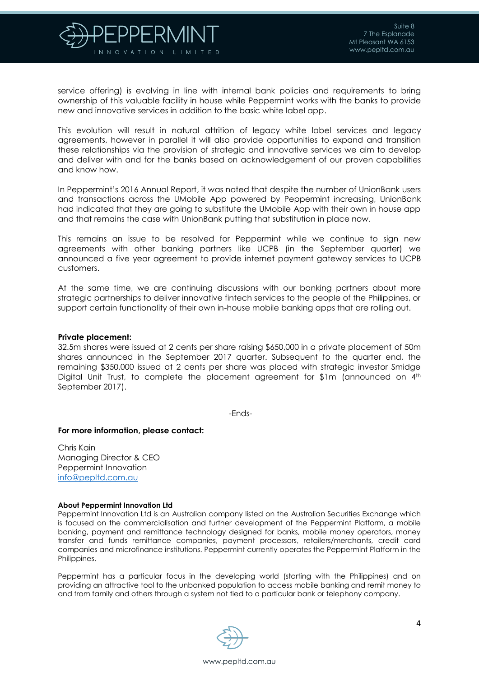

service offering) is evolving in line with internal bank policies and requirements to bring ownership of this valuable facility in house while Peppermint works with the banks to provide new and innovative services in addition to the basic white label app.

This evolution will result in natural attrition of legacy white label services and legacy agreements, however in parallel it will also provide opportunities to expand and transition these relationships via the provision of strategic and innovative services we aim to develop and deliver with and for the banks based on acknowledgement of our proven capabilities and know how.

In Peppermint's 2016 Annual Report, it was noted that despite the number of UnionBank users and transactions across the UMobile App powered by Peppermint increasing, UnionBank had indicated that they are going to substitute the UMobile App with their own in house app and that remains the case with UnionBank putting that substitution in place now.

This remains an issue to be resolved for Peppermint while we continue to sign new agreements with other banking partners like UCPB (in the September quarter) we announced a five year agreement to provide internet payment gateway services to UCPB customers.

At the same time, we are continuing discussions with our banking partners about more strategic partnerships to deliver innovative fintech services to the people of the Philippines, or support certain functionality of their own in-house mobile banking apps that are rolling out.

#### **Private placement:**

32.5m shares were issued at 2 cents per share raising \$650,000 in a private placement of 50m shares announced in the September 2017 quarter. Subsequent to the quarter end, the remaining \$350,000 issued at 2 cents per share was placed with strategic investor Smidge Digital Unit Trust, to complete the placement agreement for \$1m (announced on 4<sup>th</sup>) September 2017).

-Ends-

#### **For more information, please contact:**

Chris Kain Managing Director & CEO Peppermint Innovation [info@pepltd.com.au](mailto:info@pepltd.com.au)

#### **About Peppermint Innovation Ltd**

Peppermint Innovation Ltd is an Australian company listed on the Australian Securities Exchange which is focused on the commercialisation and further development of the Peppermint Platform, a mobile banking, payment and remittance technology designed for banks, mobile money operators, money transfer and funds remittance companies, payment processors, retailers/merchants, credit card companies and microfinance institutions. Peppermint currently operates the Peppermint Platform in the Philippines.

Peppermint has a particular focus in the developing world (starting with the Philippines) and on providing an attractive tool to the unbanked population to access mobile banking and remit money to and from family and others through a system not tied to a particular bank or telephony company.

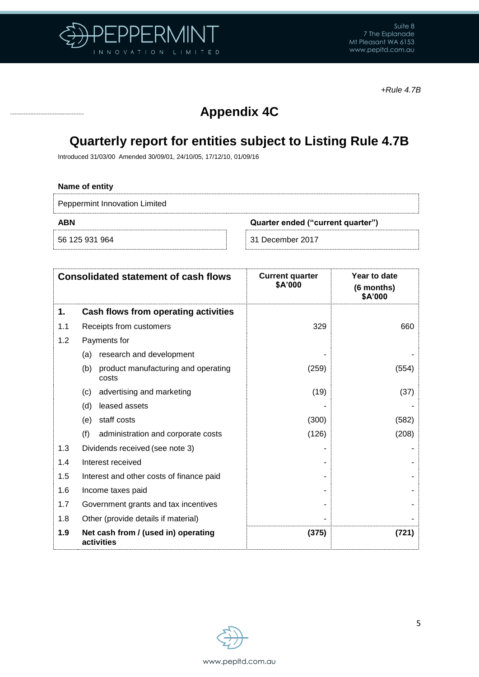

*+Rule 4.7B*

# **Appendix 4C**

# **Quarterly report for entities subject to Listing Rule 4.7B**

Introduced 31/03/00 Amended 30/09/01, 24/10/05, 17/12/10, 01/09/16

# **Name of entity**

Peppermint Innovation Limited

**ABN Quarter ended ("current quarter")**

56 125 931 964 31 December 2017

|     | <b>Consolidated statement of cash flows</b>         | <b>Current quarter</b><br>\$A'000 | Year to date<br>(6 months)<br>\$A'000 |
|-----|-----------------------------------------------------|-----------------------------------|---------------------------------------|
| 1.  | Cash flows from operating activities                |                                   |                                       |
| 1.1 | Receipts from customers                             | 329                               | 660                                   |
| 1.2 | Payments for                                        |                                   |                                       |
|     | research and development<br>(a)                     |                                   |                                       |
|     | (b)<br>product manufacturing and operating<br>costs | (259)                             | (554)                                 |
|     | advertising and marketing<br>(c)                    | (19)                              | (37)                                  |
|     | leased assets<br>(d)                                |                                   |                                       |
|     | staff costs<br>(e)                                  | (300)                             | (582)                                 |
|     | (f)<br>administration and corporate costs           | (126)                             | (208)                                 |
| 1.3 | Dividends received (see note 3)                     |                                   |                                       |
| 1.4 | Interest received                                   |                                   |                                       |
| 1.5 | Interest and other costs of finance paid            |                                   |                                       |
| 1.6 | Income taxes paid                                   |                                   |                                       |
| 1.7 | Government grants and tax incentives                |                                   |                                       |
| 1.8 | Other (provide details if material)                 |                                   |                                       |
| 1.9 | Net cash from / (used in) operating<br>activities   | (375)                             | (721)                                 |

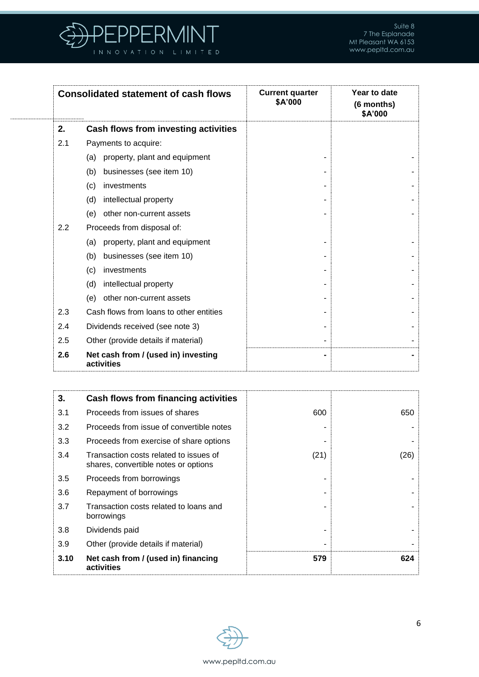

| <b>Consolidated statement of cash flows</b> |                                                   | <b>Current quarter</b><br>\$A'000 | Year to date<br>(6 months)<br>\$A'000 |  |
|---------------------------------------------|---------------------------------------------------|-----------------------------------|---------------------------------------|--|
| 2.                                          | Cash flows from investing activities              |                                   |                                       |  |
| 2.1                                         | Payments to acquire:                              |                                   |                                       |  |
|                                             | property, plant and equipment<br>(a)              |                                   |                                       |  |
|                                             | (b)<br>businesses (see item 10)                   |                                   |                                       |  |
|                                             | investments<br>(c)                                |                                   |                                       |  |
|                                             | intellectual property<br>(d)                      |                                   |                                       |  |
|                                             | other non-current assets<br>(e)                   |                                   |                                       |  |
| 2.2                                         | Proceeds from disposal of:                        |                                   |                                       |  |
|                                             | property, plant and equipment<br>(a)              |                                   |                                       |  |
|                                             | businesses (see item 10)<br>(b)                   |                                   |                                       |  |
|                                             | investments<br>(c)                                |                                   |                                       |  |
|                                             | intellectual property<br>(d)                      |                                   |                                       |  |
|                                             | other non-current assets<br>(e)                   |                                   |                                       |  |
| 2.3                                         | Cash flows from loans to other entities           |                                   |                                       |  |
| 2.4                                         | Dividends received (see note 3)                   |                                   |                                       |  |
| 2.5                                         | Other (provide details if material)               |                                   |                                       |  |
| 2.6                                         | Net cash from / (used in) investing<br>activities |                                   |                                       |  |

| 3.   | Cash flows from financing activities                                           |      |      |
|------|--------------------------------------------------------------------------------|------|------|
| 3.1  | Proceeds from issues of shares                                                 | 600  | 650  |
| 3.2  | Proceeds from issue of convertible notes                                       |      |      |
| 3.3  | Proceeds from exercise of share options                                        |      |      |
| 3.4  | Transaction costs related to issues of<br>shares, convertible notes or options | (21) | (26) |
| 3.5  | Proceeds from borrowings                                                       |      |      |
| 3.6  | Repayment of borrowings                                                        |      |      |
| 3.7  | Transaction costs related to loans and<br>borrowings                           |      |      |
| 3.8  | Dividends paid                                                                 |      |      |
| 3.9  | Other (provide details if material)                                            |      |      |
| 3.10 | Net cash from / (used in) financing<br>activities                              | 579  | 624  |

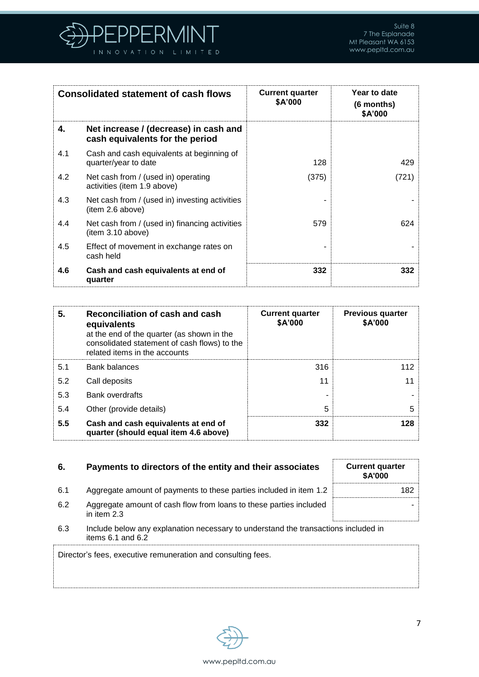

| <b>Consolidated statement of cash flows</b> |                                                                          | <b>Current quarter</b><br>\$A'000 | Year to date<br>(6 months)<br>\$A'000 |
|---------------------------------------------|--------------------------------------------------------------------------|-----------------------------------|---------------------------------------|
| 4.                                          | Net increase / (decrease) in cash and<br>cash equivalents for the period |                                   |                                       |
| 4.1                                         | Cash and cash equivalents at beginning of<br>quarter/year to date        | 128                               | 429                                   |
| 4.2                                         | Net cash from / (used in) operating<br>activities (item 1.9 above)       | (375)                             | (721)                                 |
| 4.3                                         | Net cash from / (used in) investing activities<br>(item 2.6 above)       |                                   |                                       |
| 4.4                                         | Net cash from / (used in) financing activities<br>(item 3.10 above)      | 579                               | 624                                   |
| 4.5                                         | Effect of movement in exchange rates on<br>cash held                     |                                   |                                       |
| 4.6                                         | Cash and cash equivalents at end of<br>quarter                           | 332                               | 332                                   |

| 5.  | Reconciliation of cash and cash<br>equivalents<br>at the end of the quarter (as shown in the<br>consolidated statement of cash flows) to the<br>related items in the accounts | <b>Current quarter</b><br>\$A'000 | <b>Previous quarter</b><br>\$A'000 |
|-----|-------------------------------------------------------------------------------------------------------------------------------------------------------------------------------|-----------------------------------|------------------------------------|
| 5.1 | <b>Bank balances</b>                                                                                                                                                          | 316                               | 112                                |
| 5.2 | Call deposits                                                                                                                                                                 | 11                                | 11                                 |
| 5.3 | <b>Bank overdrafts</b>                                                                                                                                                        |                                   |                                    |
| 5.4 | Other (provide details)                                                                                                                                                       | 5                                 | 5                                  |
| 5.5 | Cash and cash equivalents at end of<br>quarter (should equal item 4.6 above)                                                                                                  | 332                               | 128                                |

# **6.** Payments to directors of the entity and their associates

| 6.  | Payments to directors of the entity and their associates                            | <b>Current quarter</b><br><b>\$A'000</b> |
|-----|-------------------------------------------------------------------------------------|------------------------------------------|
| 6.1 | Aggregate amount of payments to these parties included in item 1.2                  | 182                                      |
| 6.2 | Aggregate amount of cash flow from loans to these parties included<br>in item $2.3$ |                                          |

6.3 Include below any explanation necessary to understand the transactions included in items 6.1 and 6.2

Director's fees, executive remuneration and consulting fees.



-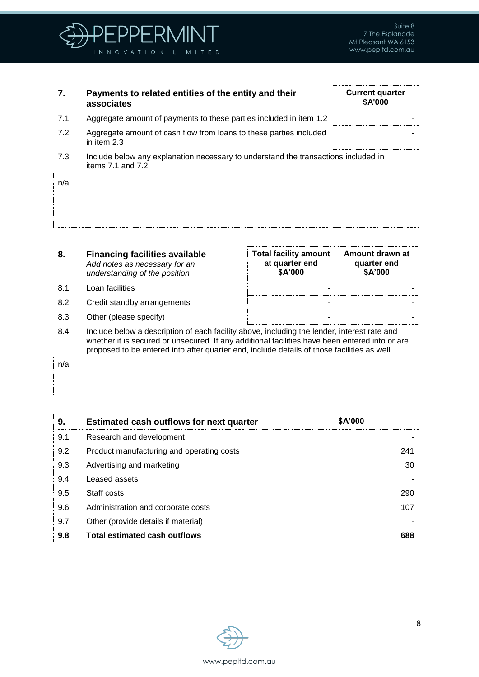

**Current quarter \$A'000**

-

# **7. Payments to related entities of the entity and their associates**

- 7.1 Aggregate amount of payments to these parties included in item 1.2
- 7.2 Aggregate amount of cash flow from loans to these parties included in item 2.3
- 7.3 Include below any explanation necessary to understand the transactions included in items 7.1 and 7.2

| n/a |  |  |  |  |  |
|-----|--|--|--|--|--|
|     |  |  |  |  |  |
|     |  |  |  |  |  |
|     |  |  |  |  |  |

- **8. Financing facilities available** *Add notes as necessary for an understanding of the position*
- 8.1 Loan facilities
- 8.2 Credit standby arrangements
- 8.3 Other (please specify)

| <b>Total facility amount</b><br>at quarter end<br>\$A'000 | Amount drawn at<br>quarter end<br>\$A'000 |
|-----------------------------------------------------------|-------------------------------------------|
|                                                           |                                           |
|                                                           |                                           |
|                                                           |                                           |

8.4 Include below a description of each facility above, including the lender, interest rate and whether it is secured or unsecured. If any additional facilities have been entered into or are proposed to be entered into after quarter end, include details of those facilities as well.

| n/a |  |
|-----|--|
|     |  |
|     |  |

| 9.  | <b>Estimated cash outflows for next quarter</b> | \$A'000 |
|-----|-------------------------------------------------|---------|
| 9.1 | Research and development                        |         |
| 9.2 | Product manufacturing and operating costs       | 241     |
| 9.3 | Advertising and marketing                       | 30      |
| 9.4 | Leased assets                                   |         |
| 9.5 | Staff costs                                     | 290     |
| 9.6 | Administration and corporate costs              | 107     |
| 9.7 | Other (provide details if material)             |         |
| 9.8 | <b>Total estimated cash outflows</b>            | 688     |